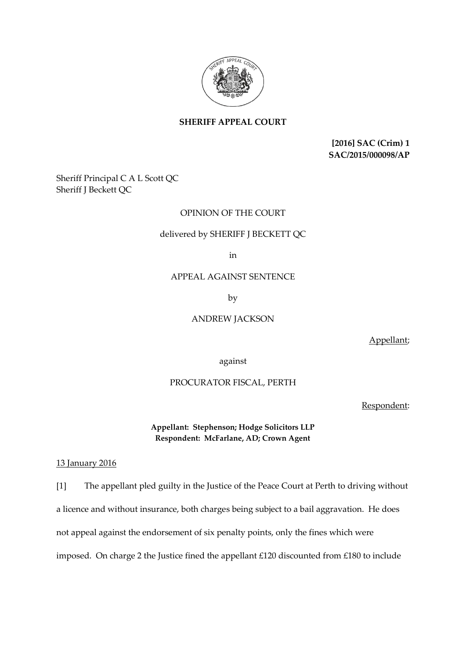

# **SHERIFF APPEAL COURT**

**[2016] SAC (Crim) 1 SAC/2015/000098/AP**

Sheriff Principal C A L Scott QC Sheriff J Beckett QC

# OPINION OF THE COURT

### delivered by SHERIFF J BECKETT QC

in

## APPEAL AGAINST SENTENCE

by

### ANDREW JACKSON

Appellant;

against

### PROCURATOR FISCAL, PERTH

Respondent:

**Appellant: Stephenson; Hodge Solicitors LLP Respondent: McFarlane, AD; Crown Agent**

13 January 2016

[1] The appellant pled guilty in the Justice of the Peace Court at Perth to driving without a licence and without insurance, both charges being subject to a bail aggravation. He does not appeal against the endorsement of six penalty points, only the fines which were imposed. On charge 2 the Justice fined the appellant £120 discounted from £180 to include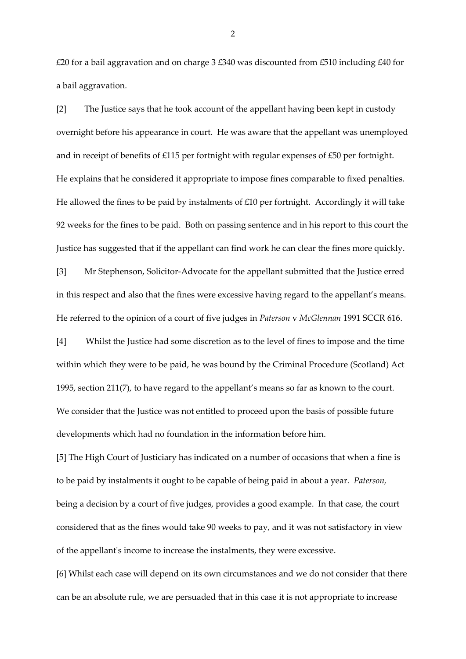£20 for a bail aggravation and on charge 3 £340 was discounted from £510 including £40 for a bail aggravation.

[2] The Justice says that he took account of the appellant having been kept in custody overnight before his appearance in court. He was aware that the appellant was unemployed and in receipt of benefits of £115 per fortnight with regular expenses of £50 per fortnight. He explains that he considered it appropriate to impose fines comparable to fixed penalties. He allowed the fines to be paid by instalments of £10 per fortnight. Accordingly it will take 92 weeks for the fines to be paid. Both on passing sentence and in his report to this court the Justice has suggested that if the appellant can find work he can clear the fines more quickly.

[3] Mr Stephenson, Solicitor-Advocate for the appellant submitted that the Justice erred in this respect and also that the fines were excessive having regard to the appellant's means. He referred to the opinion of a court of five judges in *Paterson* v *McGlennan* 1991 SCCR 616.

[4] Whilst the Justice had some discretion as to the level of fines to impose and the time within which they were to be paid, he was bound by the Criminal Procedure (Scotland) Act 1995, section 211(7), to have regard to the appellant's means so far as known to the court. We consider that the Justice was not entitled to proceed upon the basis of possible future developments which had no foundation in the information before him.

[5] The High Court of Justiciary has indicated on a number of occasions that when a fine is to be paid by instalments it ought to be capable of being paid in about a year. *Paterson,* being a decision by a court of five judges, provides a good example. In that case, the court considered that as the fines would take 90 weeks to pay, and it was not satisfactory in view of the appellant's income to increase the instalments, they were excessive.

[6] Whilst each case will depend on its own circumstances and we do not consider that there can be an absolute rule, we are persuaded that in this case it is not appropriate to increase

2